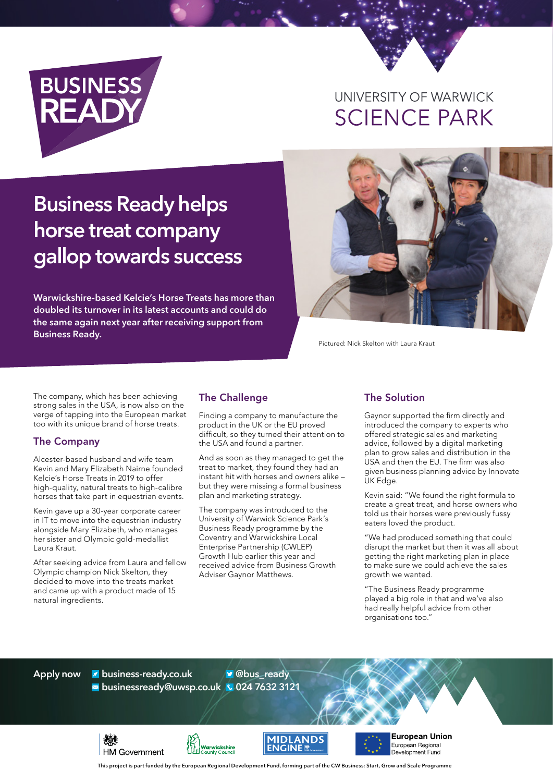

## UNIVERSITY OF WARWICK **SCIENCE PARK**

# **Business Ready helps horse treat company gallop towards success**

**Warwickshire-based Kelcie's Horse Treats has more than doubled its turnover in its latest accounts and could do the same again next year after receiving support from Business Ready.**



Pictured: Nick Skelton with Laura Kraut

The company, which has been achieving strong sales in the USA, is now also on the verge of tapping into the European market too with its unique brand of horse treats.

#### The Company

Alcester-based husband and wife team Kevin and Mary Elizabeth Nairne founded Kelcie's Horse Treats in 2019 to offer high-quality, natural treats to high-calibre horses that take part in equestrian events.

Kevin gave up a 30-year corporate career in IT to move into the equestrian industry alongside Mary Elizabeth, who manages her sister and Olympic gold-medallist Laura Kraut.

After seeking advice from Laura and fellow Olympic champion Nick Skelton, they decided to move into the treats market and came up with a product made of 15 natural ingredients.

燃料

**HM Government** 

#### The Challenge

Finding a company to manufacture the product in the UK or the EU proved difficult, so they turned their attention to the USA and found a partner.

And as soon as they managed to get the treat to market, they found they had an instant hit with horses and owners alike – but they were missing a formal business plan and marketing strategy.

The company was introduced to the University of Warwick Science Park's Business Ready programme by the Coventry and Warwickshire Local Enterprise Partnership (CWLEP) Growth Hub earlier this year and received advice from Business Growth Adviser Gaynor Matthews.

#### The Solution

Gaynor supported the firm directly and introduced the company to experts who offered strategic sales and marketing advice, followed by a digital marketing plan to grow sales and distribution in the USA and then the EU. The firm was also given business planning advice by Innovate UK Edge.

Kevin said: "We found the right formula to create a great treat, and horse owners who told us their horses were previously fussy eaters loved the product.

"We had produced something that could disrupt the market but then it was all about getting the right marketing plan in place to make sure we could achieve the sales growth we wanted.

"The Business Ready programme played a big role in that and we've also had really helpful advice from other organisations too."

**Apply now business-ready.co.uk businessready@uwsp.co.uk 024 7632 3121 @bus\_ready**

**Warwickshire** 





European Union **European Regional** Development Fund

**This project is part funded by the European Regional Development Fund, forming part of the CW Business: Start, Grow and Scale Programme**